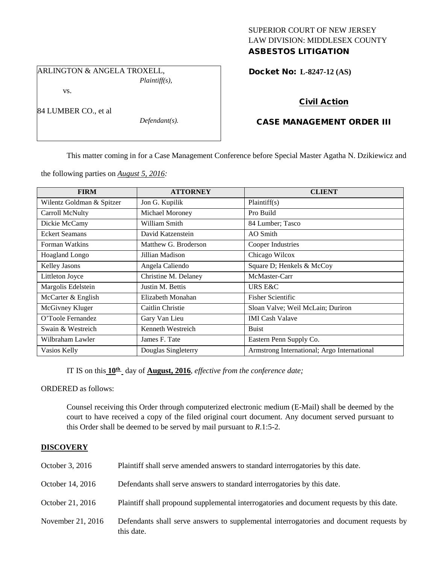## SUPERIOR COURT OF NEW JERSEY LAW DIVISION: MIDDLESEX COUNTY ASBESTOS LITIGATION

ARLINGTON & ANGELA TROXELL,

*Plaintiff(s),*

vs.

84 LUMBER CO., et al

*Defendant(s).*

Docket No: **L-8247-12 (AS)** 

# Civil Action

## CASE MANAGEMENT ORDER III

This matter coming in for a Case Management Conference before Special Master Agatha N. Dzikiewicz and

the following parties on *August 5, 2016:*

| <b>FIRM</b>               | <b>ATTORNEY</b>      | <b>CLIENT</b>                               |
|---------------------------|----------------------|---------------------------------------------|
| Wilentz Goldman & Spitzer | Jon G. Kupilik       | Plaintiff(s)                                |
| Carroll McNulty           | Michael Moroney      | Pro Build                                   |
| Dickie McCamy             | William Smith        | 84 Lumber; Tasco                            |
| <b>Eckert Seamans</b>     | David Katzenstein    | AO Smith                                    |
| Forman Watkins            | Matthew G. Broderson | Cooper Industries                           |
| Hoagland Longo            | Jillian Madison      | Chicago Wilcox                              |
| Kelley Jasons             | Angela Caliendo      | Square D; Henkels & McCoy                   |
| Littleton Joyce           | Christine M. Delaney | McMaster-Carr                               |
| Margolis Edelstein        | Justin M. Bettis     | URS E&C                                     |
| McCarter & English        | Elizabeth Monahan    | <b>Fisher Scientific</b>                    |
| McGivney Kluger           | Caitlin Christie     | Sloan Valve; Weil McLain; Duriron           |
| O'Toole Fernandez         | Gary Van Lieu        | <b>IMI</b> Cash Valave                      |
| Swain & Westreich         | Kenneth Westreich    | <b>Buist</b>                                |
| Wilbraham Lawler          | James F. Tate        | Eastern Penn Supply Co.                     |
| Vasios Kelly              | Douglas Singleterry  | Armstrong International; Argo International |

IT IS on this  $10^{\text{th}}$  day of **August, 2016**, *effective from the conference date*;

ORDERED as follows:

Counsel receiving this Order through computerized electronic medium (E-Mail) shall be deemed by the court to have received a copy of the filed original court document. Any document served pursuant to this Order shall be deemed to be served by mail pursuant to *R*.1:5-2.

## **DISCOVERY**

| October 3, 2016   | Plaintiff shall serve amended answers to standard interrogatories by this date.                       |
|-------------------|-------------------------------------------------------------------------------------------------------|
| October 14, 2016  | Defendants shall serve answers to standard interrogatories by this date.                              |
| October 21, 2016  | Plaintiff shall propound supplemental interrogatories and document requests by this date.             |
| November 21, 2016 | Defendants shall serve answers to supplemental interrogatories and document requests by<br>this date. |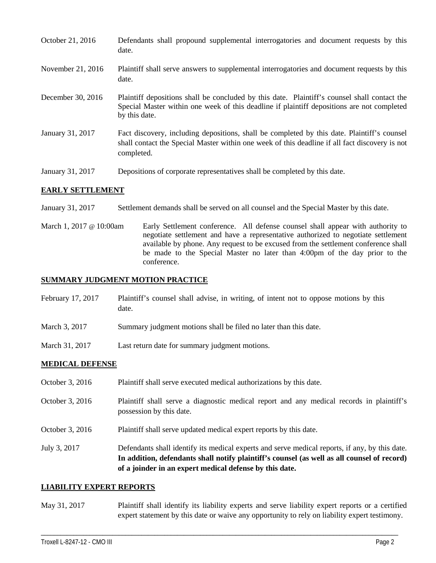| October 21, 2016  | Defendants shall propound supplemental interrogatories and document requests by this<br>date.                                                                                                               |
|-------------------|-------------------------------------------------------------------------------------------------------------------------------------------------------------------------------------------------------------|
| November 21, 2016 | Plaintiff shall serve answers to supplemental interrogatories and document requests by this<br>date.                                                                                                        |
| December 30, 2016 | Plaintiff depositions shall be concluded by this date. Plaintiff's counsel shall contact the<br>Special Master within one week of this deadline if plaintiff depositions are not completed<br>by this date. |
| January 31, 2017  | Fact discovery, including depositions, shall be completed by this date. Plaintiff's counsel<br>shall contact the Special Master within one week of this deadline if all fact discovery is not<br>completed. |
| January 31, 2017  | Depositions of corporate representatives shall be completed by this date.                                                                                                                                   |

## **EARLY SETTLEMENT**

- January 31, 2017 Settlement demands shall be served on all counsel and the Special Master by this date.
- March 1, 2017 @ 10:00am Early Settlement conference. All defense counsel shall appear with authority to negotiate settlement and have a representative authorized to negotiate settlement available by phone. Any request to be excused from the settlement conference shall be made to the Special Master no later than 4:00pm of the day prior to the conference.

## **SUMMARY JUDGMENT MOTION PRACTICE**

- February 17, 2017 Plaintiff's counsel shall advise, in writing, of intent not to oppose motions by this date.
- March 3, 2017 Summary judgment motions shall be filed no later than this date.
- March 31, 2017 Last return date for summary judgment motions.

#### **MEDICAL DEFENSE**

- October 3, 2016 Plaintiff shall serve executed medical authorizations by this date.
- October 3, 2016 Plaintiff shall serve a diagnostic medical report and any medical records in plaintiff's possession by this date.
- October 3, 2016 Plaintiff shall serve updated medical expert reports by this date.
- July 3, 2017 Defendants shall identify its medical experts and serve medical reports, if any, by this date. **In addition, defendants shall notify plaintiff's counsel (as well as all counsel of record) of a joinder in an expert medical defense by this date.**

#### **LIABILITY EXPERT REPORTS**

May 31, 2017 Plaintiff shall identify its liability experts and serve liability expert reports or a certified expert statement by this date or waive any opportunity to rely on liability expert testimony.

\_\_\_\_\_\_\_\_\_\_\_\_\_\_\_\_\_\_\_\_\_\_\_\_\_\_\_\_\_\_\_\_\_\_\_\_\_\_\_\_\_\_\_\_\_\_\_\_\_\_\_\_\_\_\_\_\_\_\_\_\_\_\_\_\_\_\_\_\_\_\_\_\_\_\_\_\_\_\_\_\_\_\_\_\_\_\_\_\_\_\_\_\_\_\_\_\_\_\_\_\_\_\_\_\_\_\_\_\_\_